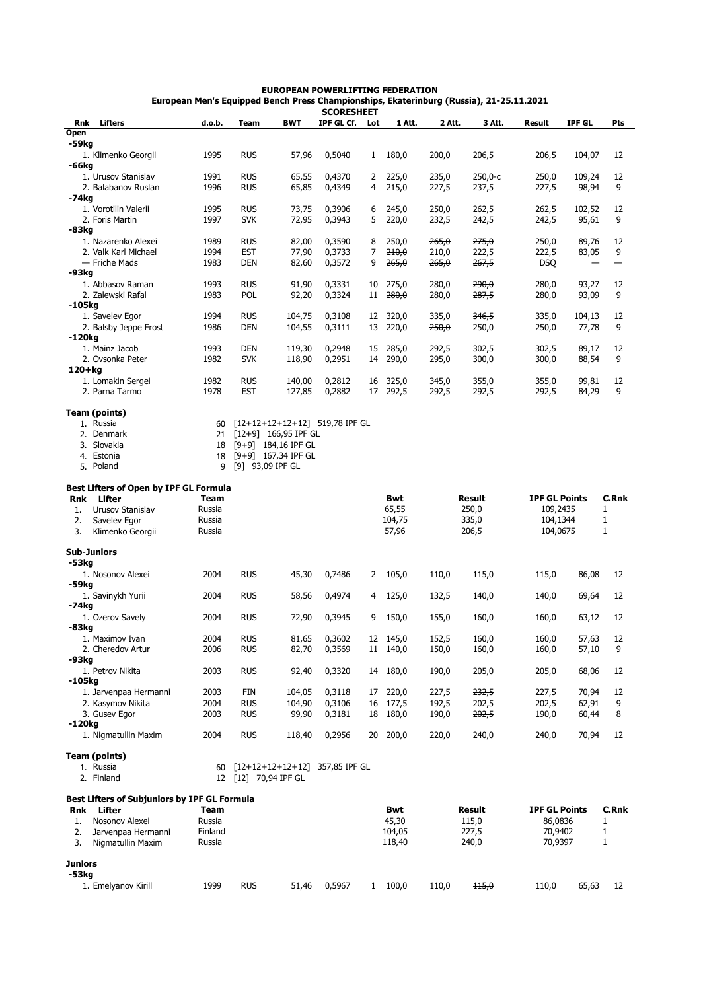## **EUROPEAN POWERLIFTING FEDERATION European Men's Equipped Bench Press Championships, Ekaterinburg (Russia), 21-25.11.2021**

|            |                                                     |         |            |                                  | <b>SCORESHEET</b> |              |          |                  |           |                      |               |              |
|------------|-----------------------------------------------------|---------|------------|----------------------------------|-------------------|--------------|----------|------------------|-----------|----------------------|---------------|--------------|
| Rnk        | Lifters                                             | d.o.b.  | Team       | BWT                              | IPF GL Cf.        | Lot          | 1 Att.   | 2 Att.           | 3 Att.    | <b>Result</b>        | <b>IPF GL</b> | Pts          |
| Open       |                                                     |         |            |                                  |                   |              |          |                  |           |                      |               |              |
| -59kg      |                                                     |         |            |                                  |                   |              |          |                  |           |                      |               |              |
|            | 1. Klimenko Georgii                                 | 1995    | <b>RUS</b> | 57,96                            | 0,5040            | 1            | 180,0    | 200,0            | 206,5     | 206,5                | 104,07        | 12           |
| -66kg      |                                                     |         |            |                                  |                   |              |          |                  |           |                      |               |              |
|            | 1. Urusov Stanislav                                 | 1991    | <b>RUS</b> | 65,55                            | 0,4370            | $\mathbf{2}$ | 225,0    | 235,0            | $250,0-c$ | 250,0                | 109,24        | 12           |
|            | 2. Balabanov Ruslan                                 | 1996    | <b>RUS</b> | 65,85                            | 0,4349            | 4            | 215,0    | 227,5            | 237,5     | 227,5                | 98,94         | 9            |
| -74kg      |                                                     |         |            |                                  |                   |              |          |                  |           |                      |               |              |
|            | 1. Vorotilin Valerii                                | 1995    | <b>RUS</b> | 73,75                            | 0,3906            | 6            | 245,0    | 250,0            | 262,5     | 262,5                | 102,52        | 12           |
|            | 2. Foris Martin                                     | 1997    | <b>SVK</b> | 72,95                            | 0,3943            | 5            | 220,0    | 232,5            | 242,5     | 242,5                | 95,61         | 9            |
| -83kg      |                                                     |         |            |                                  |                   |              |          |                  |           |                      |               |              |
|            | 1. Nazarenko Alexei                                 | 1989    | <b>RUS</b> | 82,00                            | 0,3590            | 8            | 250,0    | <del>265,0</del> | 275,0     | 250,0                | 89,76         | 12           |
|            | 2. Valk Karl Michael                                | 1994    | <b>EST</b> | 77,90                            | 0,3733            | 7            | 210,0    | 210,0            | 222,5     | 222,5                | 83,05         | 9            |
|            | - Friche Mads                                       | 1983    | <b>DEN</b> | 82,60                            | 0,3572            | 9            | 265,0    | 265,0            | 267,5     | <b>DSQ</b>           |               |              |
| -93kg      |                                                     |         |            |                                  |                   |              |          |                  |           |                      |               |              |
|            | 1. Abbasov Raman                                    | 1993    | <b>RUS</b> | 91,90                            | 0,3331            | 10           | 275,0    | 280,0            | 290,0     | 280,0                | 93,27         | 12           |
|            | 2. Zalewski Rafal                                   | 1983    | POL        | 92,20                            | 0,3324            |              | 11 280,0 | 280,0            | 287,5     | 280,0                | 93,09         | 9            |
| -105kg     |                                                     |         |            |                                  |                   |              |          |                  |           |                      |               |              |
|            | 1. Savelev Egor                                     | 1994    | <b>RUS</b> | 104,75                           | 0,3108            |              | 12 320,0 | 335,0            | 346,5     | 335,0                |               | 12           |
|            |                                                     |         |            |                                  |                   |              | 13 220,0 |                  |           |                      | 104,13        | 9            |
|            | 2. Balsby Jeppe Frost                               | 1986    | <b>DEN</b> | 104,55                           | 0,3111            |              |          | <del>250,0</del> | 250,0     | 250,0                | 77,78         |              |
| -120kg     |                                                     |         |            |                                  |                   |              |          |                  |           |                      |               |              |
|            | 1. Mainz Jacob                                      | 1993    | <b>DEN</b> | 119,30                           | 0,2948            |              | 15 285,0 | 292,5            | 302,5     | 302,5                | 89,17         | 12           |
|            | 2. Ovsonka Peter                                    | 1982    | <b>SVK</b> | 118,90                           | 0,2951            |              | 14 290,0 | 295,0            | 300,0     | 300,0                | 88,54         | 9            |
| $120 + kq$ |                                                     |         |            |                                  |                   |              |          |                  |           |                      |               |              |
|            | 1. Lomakin Sergei                                   | 1982    | <b>RUS</b> | 140,00                           | 0,2812            | 16           | 325,0    | 345,0            | 355,0     | 355,0                | 99,81         | 12           |
|            | 2. Parna Tarmo                                      | 1978    | <b>EST</b> | 127,85                           | 0,2882            | 17           | 292,5    | 292,5            | 292,5     | 292,5                | 84,29         | 9            |
|            |                                                     |         |            |                                  |                   |              |          |                  |           |                      |               |              |
|            | Team (points)                                       |         |            |                                  |                   |              |          |                  |           |                      |               |              |
|            | 1. Russia                                           | 60      |            | $[12+12+12+12+12]$ 519,78 IPF GL |                   |              |          |                  |           |                      |               |              |
|            | 2. Denmark                                          | 21      |            | $[12+9]$ 166,95 IPF GL           |                   |              |          |                  |           |                      |               |              |
|            | 3. Slovakia                                         | 18      |            | $[9+9]$ 184,16 IPF GL            |                   |              |          |                  |           |                      |               |              |
|            | 4. Estonia                                          | 18      |            | $[9+9]$ 167,34 IPF GL            |                   |              |          |                  |           |                      |               |              |
|            | 5. Poland                                           | 9       |            | [9] 93,09 IPF GL                 |                   |              |          |                  |           |                      |               |              |
|            |                                                     |         |            |                                  |                   |              |          |                  |           |                      |               |              |
|            | Best Lifters of Open by IPF GL Formula              |         |            |                                  |                   |              |          |                  |           |                      |               |              |
|            |                                                     |         |            |                                  |                   |              |          |                  |           |                      |               |              |
| <b>Rnk</b> | Lifter                                              | Team    |            |                                  |                   |              | Bwt      |                  | Result    | <b>IPF GL Points</b> |               | <b>C.Rnk</b> |
| 1.         | Urusov Stanislav                                    | Russia  |            |                                  |                   |              | 65,55    |                  | 250,0     | 109,2435             |               | 1            |
| 2.         | Savelev Egor                                        | Russia  |            |                                  |                   |              | 104,75   |                  | 335,0     | 104,1344             |               | 1            |
| 3.         | Klimenko Georgii                                    | Russia  |            |                                  |                   |              | 57,96    |                  | 206,5     | 104,0675             |               | 1            |
|            |                                                     |         |            |                                  |                   |              |          |                  |           |                      |               |              |
|            | <b>Sub-Juniors</b>                                  |         |            |                                  |                   |              |          |                  |           |                      |               |              |
| -53kg      |                                                     |         |            |                                  |                   |              |          |                  |           |                      |               |              |
|            | 1. Nosonov Alexei                                   | 2004    | <b>RUS</b> | 45,30                            | 0,7486            | 2            | 105,0    | 110,0            | 115,0     | 115,0                | 86,08         | 12           |
| $-59kg$    |                                                     |         |            |                                  |                   |              |          |                  |           |                      |               |              |
|            | 1. Savinykh Yurii                                   | 2004    | <b>RUS</b> | 58,56                            | 0,4974            | 4            | 125,0    | 132,5            | 140,0     | 140,0                | 69,64         | 12           |
| -74kg      |                                                     |         |            |                                  |                   |              |          |                  |           |                      |               |              |
|            |                                                     | 2004    | <b>RUS</b> |                                  |                   | 9            |          |                  |           |                      | 63,12         | 12           |
|            | 1. Ozerov Savely                                    |         |            | 72,90                            | 0,3945            |              | 150,0    | 155,0            | 160,0     | 160,0                |               |              |
| -83kg      |                                                     |         |            |                                  |                   |              |          |                  |           |                      |               |              |
|            | 1. Maximov Ivan                                     | 2004    | <b>RUS</b> |                                  | 81,65 0,3602      |              | 12 145,0 | 152,5            | 160,0     | 160,0                | 57,63         | 12           |
|            | 2. Cheredov Artur                                   | 2006    | <b>RUS</b> | 82,70                            | 0,3569            |              | 11 140,0 | 150,0            | 160,0     | 160,0                | 57,10         | 9            |
| -93kg      |                                                     |         |            |                                  |                   |              |          |                  |           |                      |               |              |
|            | 1. Petrov Nikita                                    | 2003    | <b>RUS</b> | 92,40                            | 0,3320            |              | 14 180,0 | 190,0            | 205,0     | 205,0                | 68,06         | 12           |
| -105kg     |                                                     |         |            |                                  |                   |              |          |                  |           |                      |               |              |
|            | 1. Jarvenpaa Hermanni                               | 2003    | FIN        | 104,05                           | 0,3118            |              | 17 220,0 | 227,5            | 232,5     | 227,5                | 70,94         | 12           |
|            | 2. Kasymov Nikita                                   | 2004    | rus        | 104,90                           | 0,3106            | 16           | 177,5    | 192,5            | 202,5     | 202,5                | 62,91         | 9            |
|            | 3. Gusev Egor                                       | 2003    | <b>RUS</b> | 99,90                            | 0,3181            |              | 18 180,0 | 190,0            | 202,5     | 190,0                | 60,44         | 8            |
| -120kg     |                                                     |         |            |                                  |                   |              |          |                  |           |                      |               |              |
|            | 1. Nigmatullin Maxim                                | 2004    | <b>RUS</b> | 118,40                           | 0,2956            |              | 20 200,0 | 220,0            | 240,0     | 240,0                | 70,94         | 12           |
|            |                                                     |         |            |                                  |                   |              |          |                  |           |                      |               |              |
|            | Team (points)                                       |         |            |                                  |                   |              |          |                  |           |                      |               |              |
|            | 1. Russia                                           | 60      |            | [12+12+12+12+12] 357,85 IPF GL   |                   |              |          |                  |           |                      |               |              |
|            | 2. Finland                                          |         |            | 12 [12] 70,94 IPF GL             |                   |              |          |                  |           |                      |               |              |
|            |                                                     |         |            |                                  |                   |              |          |                  |           |                      |               |              |
|            | <b>Best Lifters of Subjuniors by IPF GL Formula</b> |         |            |                                  |                   |              |          |                  |           |                      |               |              |
| Rnk        | Lifter                                              | Team    |            |                                  |                   |              | Bwt      |                  | Result    | <b>IPF GL Points</b> |               | C.Rnk        |
| 1.         | Nosonov Alexei                                      | Russia  |            |                                  |                   |              | 45,30    |                  | 115,0     | 86,0836              |               | $\mathbf{1}$ |
| 2.         | Jarvenpaa Hermanni                                  | Finland |            |                                  |                   |              | 104,05   |                  | 227,5     | 70,9402              |               | $\mathbf{1}$ |
| 3.         | Nigmatullin Maxim                                   | Russia  |            |                                  |                   |              | 118,40   |                  | 240,0     | 70,9397              |               | $\mathbf{1}$ |
| Juniors    |                                                     |         |            |                                  |                   |              |          |                  |           |                      |               |              |

1999 RUS 51,46 0,5967 1 100,0 110,0 <del>115,0</del> 110,0 65,63 12  **-53kg**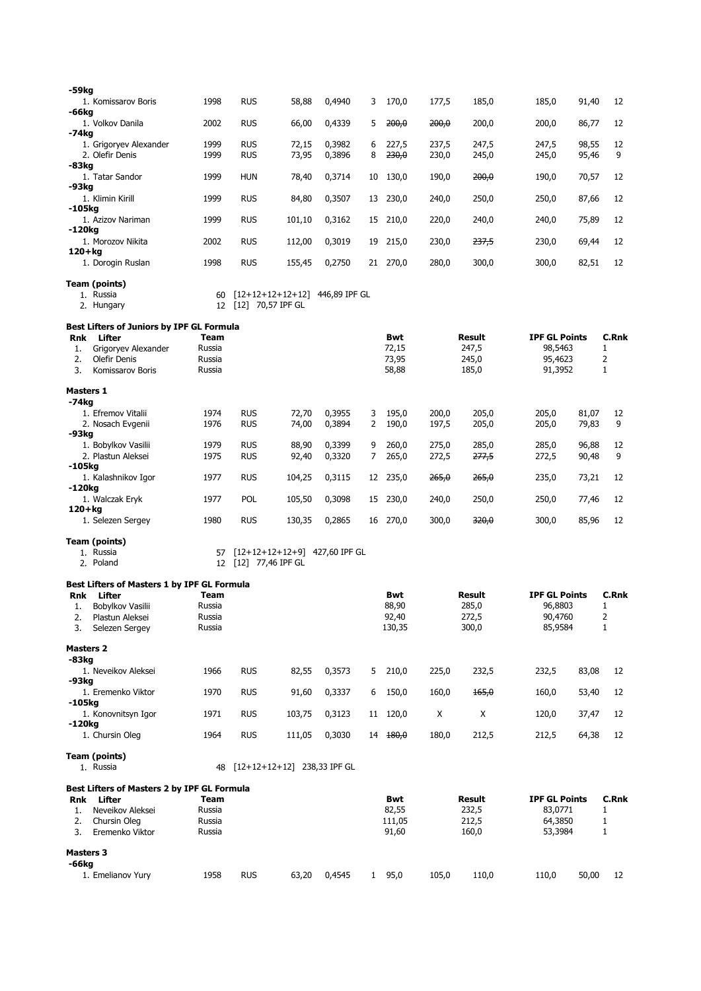| -59kg                      |                                             |                       |                          |                                  |                  |        |                     |                |                 |                                 |                |                              |
|----------------------------|---------------------------------------------|-----------------------|--------------------------|----------------------------------|------------------|--------|---------------------|----------------|-----------------|---------------------------------|----------------|------------------------------|
| -66kg                      | 1. Komissarov Boris                         | 1998                  | <b>RUS</b>               | 58,88                            | 0,4940           | 3      | 170,0               | 177,5          | 185,0           | 185,0                           | 91,40          | 12                           |
|                            | 1. Volkov Danila                            | 2002                  | <b>RUS</b>               | 66,00                            | 0,4339           | 5      | 200,0               | 200,0          | 200,0           | 200,0                           | 86,77          | 12                           |
| -74kg                      | 1. Grigoryev Alexander<br>2. Olefir Denis   | 1999<br>1999          | <b>RUS</b><br><b>RUS</b> | 72,15<br>73,95                   | 0,3982<br>0,3896 | 6<br>8 | 227,5<br>230,0      | 237,5<br>230,0 | 247,5<br>245,0  | 247,5<br>245,0                  | 98,55<br>95,46 | 12<br>9                      |
| -83kg                      | 1. Tatar Sandor                             | 1999                  | <b>HUN</b>               | 78,40                            | 0,3714           | 10     | 130,0               | 190,0          | 200,0           | 190,0                           | 70,57          | 12                           |
| -93kg                      | 1. Klimin Kirill                            | 1999                  | <b>RUS</b>               | 84,80                            | 0,3507           | 13     | 230,0               | 240,0          | 250,0           | 250,0                           | 87,66          | 12                           |
| -105kg                     | 1. Azizov Nariman                           | 1999                  | <b>RUS</b>               | 101,10                           | 0,3162           | 15     | 210,0               | 220,0          | 240,0           | 240,0                           | 75,89          | 12                           |
| -120kg                     | 1. Morozov Nikita                           | 2002                  | <b>RUS</b>               | 112,00                           | 0,3019           | 19     | 215,0               | 230,0          | 237,5           | 230,0                           | 69,44          | 12                           |
| 120+kg                     | 1. Dorogin Ruslan                           | 1998                  | <b>RUS</b>               | 155,45                           | 0,2750           |        | 21 270,0            | 280,0          | 300,0           | 300,0                           | 82,51          | 12                           |
| Team (points)              |                                             |                       |                          |                                  |                  |        |                     |                |                 |                                 |                |                              |
| 1. Russia                  | 2. Hungary                                  | 60<br>12              | [12] 70,57 IPF GL        | $[12+12+12+12+12]$ 446,89 IPF GL |                  |        |                     |                |                 |                                 |                |                              |
|                            | Best Lifters of Juniors by IPF GL Formula   |                       |                          |                                  |                  |        |                     |                |                 |                                 |                |                              |
| Rnk<br>1.                  | Lifter<br>Grigoryev Alexander               | <b>Team</b><br>Russia |                          |                                  |                  |        | Bwt<br>72,15        |                | Result<br>247,5 | <b>IPF GL Points</b><br>98,5463 |                | <b>C.Rnk</b><br>$\mathbf{1}$ |
| 2.<br>3.                   | Olefir Denis<br>Komissarov Boris            | Russia<br>Russia      |                          |                                  |                  |        | 73,95<br>58,88      |                | 245,0<br>185,0  | 95,4623<br>91,3952              |                | 2<br>1                       |
| <b>Masters 1</b>           |                                             |                       |                          |                                  |                  |        |                     |                |                 |                                 |                |                              |
| -74kg                      | 1. Efremov Vitalii                          | 1974                  | <b>RUS</b>               | 72,70                            | 0,3955           | 3      | 195,0               | 200,0          | 205,0           | 205,0                           | 81,07          | 12                           |
| -93kg                      | 2. Nosach Evgenii                           | 1976                  | <b>RUS</b>               | 74,00                            | 0,3894           | 2      | 190,0               | 197,5          | 205,0           | 205,0                           | 79,83          | 9                            |
|                            | 1. Bobylkov Vasilii<br>2. Plastun Aleksei   | 1979<br>1975          | <b>RUS</b><br><b>RUS</b> | 88,90<br>92,40                   | 0,3399<br>0,3320 | 9<br>7 | 260,0<br>265,0      | 275,0<br>272,5 | 285,0<br>277,5  | 285,0<br>272,5                  | 96,88<br>90,48 | 12<br>9                      |
| -105kg                     | 1. Kalashnikov Igor                         | 1977                  | <b>RUS</b>               | 104,25                           | 0,3115           | 12     | 235,0               | 265,0          | 265,0           | 235,0                           | 73,21          | 12                           |
| -120kg                     | 1. Walczak Eryk                             | 1977                  | POL                      | 105,50                           | 0,3098           | 15     | 230,0               | 240,0          | 250,0           | 250,0                           | 77,46          | 12                           |
| 120+kg                     | 1. Selezen Sergey                           | 1980                  | <b>RUS</b>               | 130,35                           | 0,2865           | 16     | 270,0               | 300,0          | 320,0           | 300,0                           | 85,96          | 12                           |
| Team (points)              |                                             |                       |                          |                                  |                  |        |                     |                |                 |                                 |                |                              |
| 1. Russia<br>2. Poland     |                                             | 57<br>12              | [12] 77,46 IPF GL        | $[12+12+12+12+9]$ 427,60 IPF GL  |                  |        |                     |                |                 |                                 |                |                              |
|                            | Best Lifters of Masters 1 by IPF GL Formula |                       |                          |                                  |                  |        |                     |                |                 |                                 |                |                              |
| Rnk                        | Lifter                                      | Team                  |                          |                                  |                  |        | Bwt                 |                | Result          | <b>IPF GL Points</b>            |                | <b>C.Rnk</b>                 |
| 1.<br>2.                   | Bobylkov Vasilii<br>Plastun Aleksei         | Russia<br>Russia      |                          |                                  |                  |        | 88,90<br>92,40      |                | 285,0<br>272,5  | 96,8803<br>90,4760              |                | 1<br>2                       |
| 3.                         | Selezen Sergey                              | Russia                |                          |                                  |                  |        | 130,35              |                | 300,0           | 85,9584                         |                | $\mathbf{1}$                 |
| <b>Masters 2</b><br>-83kg  |                                             |                       |                          |                                  |                  |        |                     |                |                 |                                 |                |                              |
| -93kg                      | 1. Neveikov Aleksei                         | 1966                  | <b>RUS</b>               | 82,55                            | 0,3573           | 5      | 210,0               | 225,0          | 232,5           | 232,5                           | 83,08          | 12                           |
| -105kg                     | 1. Eremenko Viktor                          | 1970                  | <b>RUS</b>               | 91,60                            | 0,3337           | 6      | 150,0               | 160,0          | 165,0           | 160,0                           | 53,40          | 12                           |
| -120kg                     | 1. Konovnitsyn Igor                         | 1971                  | <b>RUS</b>               | 103,75                           | 0,3123           | 11     | 120,0               | Χ              | X               | 120,0                           | 37,47          | 12                           |
|                            | 1. Chursin Oleg                             | 1964                  | <b>RUS</b>               | 111,05                           | 0,3030           |        | $14 \quad 180,0$    | 180,0          | 212,5           | 212,5                           | 64,38          | 12                           |
| Team (points)<br>1. Russia |                                             | 48                    |                          | $[12+12+12+12]$ 238,33 IPF GL    |                  |        |                     |                |                 |                                 |                |                              |
|                            | Best Lifters of Masters 2 by IPF GL Formula |                       |                          |                                  |                  |        |                     |                |                 |                                 |                |                              |
| <b>Rnk</b><br>1.           | Lifter<br>Neveikov Aleksei                  | Team<br>Russia        |                          |                                  |                  |        | <b>Bwt</b><br>82,55 |                | Result<br>232,5 | <b>IPF GL Points</b><br>83,0771 |                | C.Rnk<br>1                   |
| 2.<br>3.                   | Chursin Oleg<br>Eremenko Viktor             | Russia<br>Russia      |                          |                                  |                  |        | 111,05<br>91,60     |                | 212,5<br>160,0  | 64,3850<br>53,3984              |                | 1<br>1                       |
| <b>Masters 3</b>           |                                             |                       |                          |                                  |                  |        |                     |                |                 |                                 |                |                              |
| -66kg                      | 1. Emelianov Yury                           | 1958                  | <b>RUS</b>               | 63,20                            | 0,4545           | 1      | 95,0                | 105,0          | 110,0           | 110,0                           | 50,00          | 12                           |
|                            |                                             |                       |                          |                                  |                  |        |                     |                |                 |                                 |                |                              |